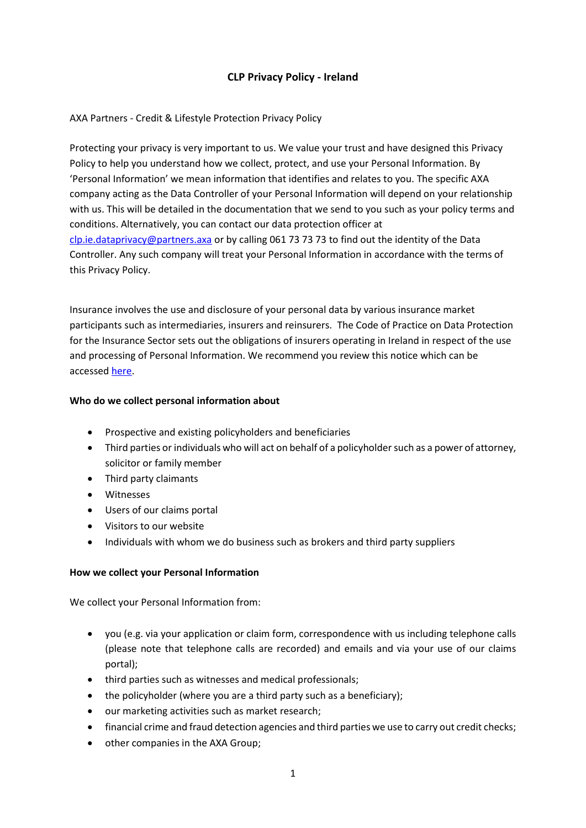# **CLP Privacy Policy - Ireland**

#### AXA Partners - Credit & Lifestyle Protection Privacy Policy

Protecting your privacy is very important to us. We value your trust and have designed this Privacy Policy to help you understand how we collect, protect, and use your Personal Information. By 'Personal Information' we mean information that identifies and relates to you. The specific AXA company acting as the Data Controller of your Personal Information will depend on your relationship with us. This will be detailed in the documentation that we send to you such as your policy terms and conditions. Alternatively, you can contact our data protection officer at [clp.ie.dataprivacy@partners.axa](mailto:clp.ie.dataprivacy@partners.axa) or by calling 061 73 73 73 to find out the identity of the Data Controller. Any such company will treat your Personal Information in accordance with the terms of this Privacy Policy.

Insurance involves the use and disclosure of your personal data by various insurance market participants such as intermediaries, insurers and reinsurers. The Code of Practice on Data Protection for the Insurance Sector sets out the obligations of insurers operating in Ireland in respect of the use and processing of Personal Information. We recommend you review this notice which can be accessed [here.](http://www.insuranceireland.eu/media/documents/20130626_Code_of_Practice_Final.pdf)

#### **Who do we collect personal information about**

- Prospective and existing policyholders and beneficiaries
- Third parties or individuals who will act on behalf of a policyholder such as a power of attorney, solicitor or family member
- Third party claimants
- Witnesses
- Users of our claims portal
- Visitors to our website
- Individuals with whom we do business such as brokers and third party suppliers

#### **How we collect your Personal Information**

We collect your Personal Information from:

- you (e.g. via your application or claim form, correspondence with us including telephone calls (please note that telephone calls are recorded) and emails and via your use of our claims portal);
- third parties such as witnesses and medical professionals;
- the policyholder (where you are a third party such as a beneficiary);
- our marketing activities such as market research;
- financial crime and fraud detection agencies and third parties we use to carry out credit checks;
- other companies in the AXA Group;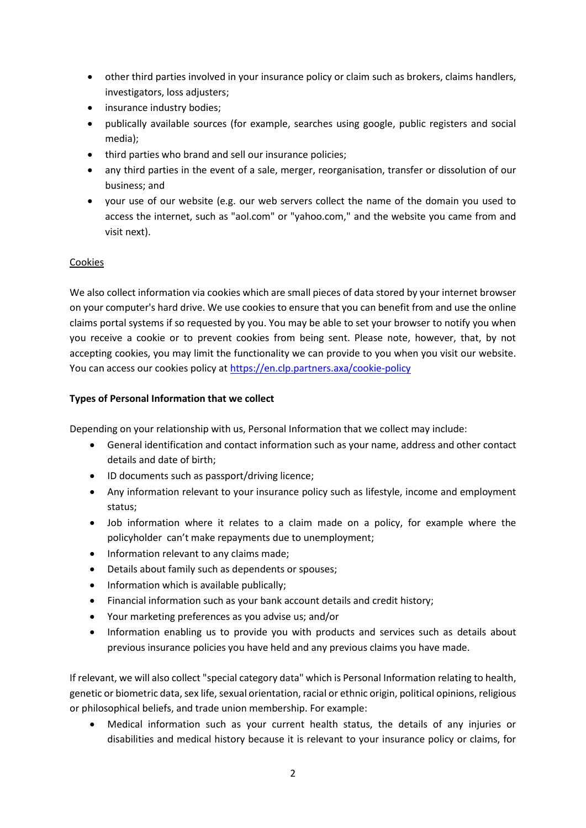- other third parties involved in your insurance policy or claim such as brokers, claims handlers, investigators, loss adjusters;
- insurance industry bodies;
- publically available sources (for example, searches using google, public registers and social media);
- third parties who brand and sell our insurance policies;
- any third parties in the event of a sale, merger, reorganisation, transfer or dissolution of our business; and
- your use of our website (e.g. our web servers collect the name of the domain you used to access the internet, such as "aol.com" or "yahoo.com," and the website you came from and visit next).

# Cookies

We also collect information via cookies which are small pieces of data stored by your internet browser on your computer's hard drive. We use cookies to ensure that you can benefit from and use the online claims portal systems if so requested by you. You may be able to set your browser to notify you when you receive a cookie or to prevent cookies from being sent. Please note, however, that, by not accepting cookies, you may limit the functionality we can provide to you when you visit our website. You can access our cookies policy at <https://en.clp.partners.axa/cookie-policy>

#### **Types of Personal Information that we collect**

Depending on your relationship with us, Personal Information that we collect may include:

- General identification and contact information such as your name, address and other contact details and date of birth;
- ID documents such as passport/driving licence;
- Any information relevant to your insurance policy such as lifestyle, income and employment status;
- Job information where it relates to a claim made on a policy, for example where the policyholder can't make repayments due to unemployment;
- Information relevant to any claims made;
- Details about family such as dependents or spouses;
- Information which is available publically;
- Financial information such as your bank account details and credit history;
- Your marketing preferences as you advise us; and/or
- Information enabling us to provide you with products and services such as details about previous insurance policies you have held and any previous claims you have made.

If relevant, we will also collect "special category data" which is Personal Information relating to health, genetic or biometric data, sex life, sexual orientation, racial or ethnic origin, political opinions, religious or philosophical beliefs, and trade union membership. For example:

 Medical information such as your current health status, the details of any injuries or disabilities and medical history because it is relevant to your insurance policy or claims, for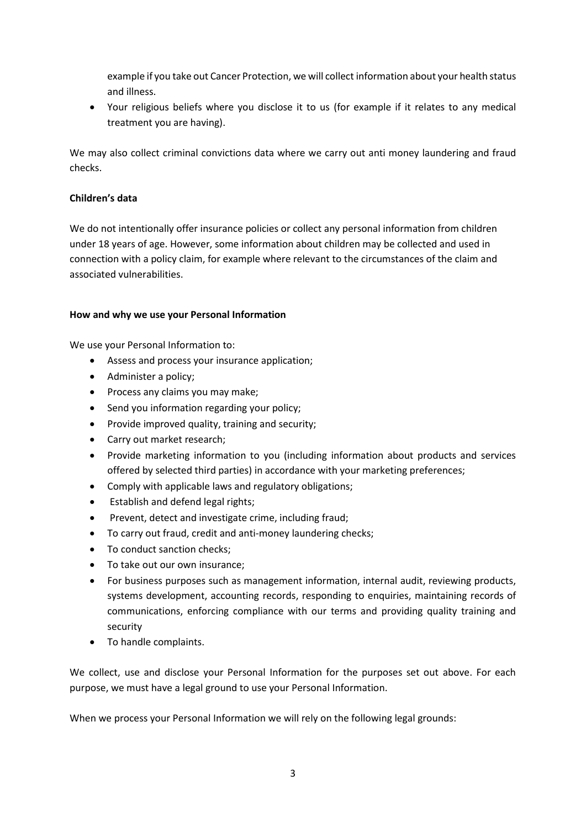example if you take out Cancer Protection, we will collect information about your health status and illness.

 Your religious beliefs where you disclose it to us (for example if it relates to any medical treatment you are having).

We may also collect criminal convictions data where we carry out anti money laundering and fraud checks.

#### **Children's data**

We do not intentionally offer insurance policies or collect any personal information from children under 18 years of age. However, some information about children may be collected and used in connection with a policy claim, for example where relevant to the circumstances of the claim and associated vulnerabilities.

#### **How and why we use your Personal Information**

We use your Personal Information to:

- Assess and process your insurance application;
- Administer a policy;
- Process any claims you may make;
- Send you information regarding your policy;
- Provide improved quality, training and security;
- Carry out market research;
- Provide marketing information to you (including information about products and services offered by selected third parties) in accordance with your marketing preferences;
- Comply with applicable laws and regulatory obligations;
- Establish and defend legal rights;
- Prevent, detect and investigate crime, including fraud;
- To carry out fraud, credit and anti-money laundering checks;
- To conduct sanction checks;
- To take out our own insurance;
- For business purposes such as management information, internal audit, reviewing products, systems development, accounting records, responding to enquiries, maintaining records of communications, enforcing compliance with our terms and providing quality training and security
- To handle complaints.

We collect, use and disclose your Personal Information for the purposes set out above. For each purpose, we must have a legal ground to use your Personal Information.

When we process your Personal Information we will rely on the following legal grounds: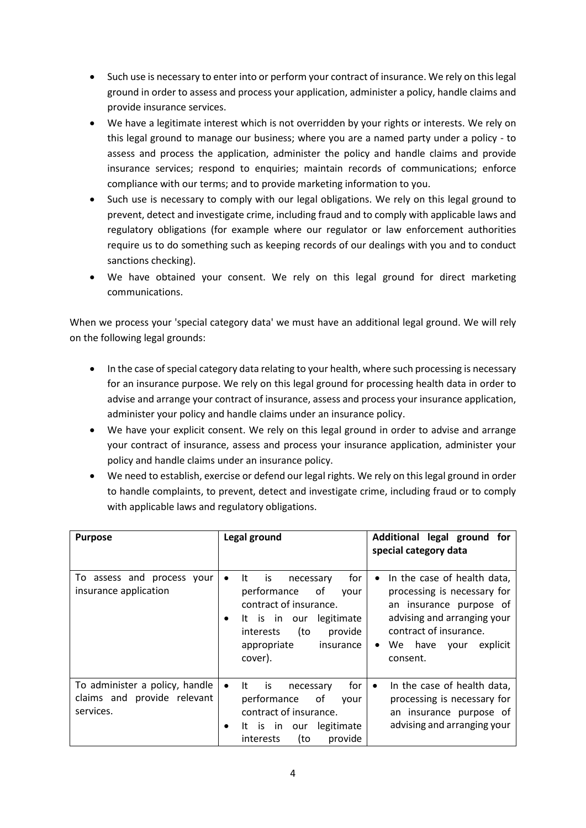- Such use is necessary to enter into or perform your contract of insurance. We rely on this legal ground in order to assess and process your application, administer a policy, handle claims and provide insurance services.
- We have a legitimate interest which is not overridden by your rights or interests. We rely on this legal ground to manage our business; where you are a named party under a policy - to assess and process the application, administer the policy and handle claims and provide insurance services; respond to enquiries; maintain records of communications; enforce compliance with our terms; and to provide marketing information to you.
- Such use is necessary to comply with our legal obligations. We rely on this legal ground to prevent, detect and investigate crime, including fraud and to comply with applicable laws and regulatory obligations (for example where our regulator or law enforcement authorities require us to do something such as keeping records of our dealings with you and to conduct sanctions checking).
- We have obtained your consent. We rely on this legal ground for direct marketing communications.

When we process your 'special category data' we must have an additional legal ground. We will rely on the following legal grounds:

- In the case of special category data relating to your health, where such processing is necessary for an insurance purpose. We rely on this legal ground for processing health data in order to advise and arrange your contract of insurance, assess and process your insurance application, administer your policy and handle claims under an insurance policy.
- We have your explicit consent. We rely on this legal ground in order to advise and arrange your contract of insurance, assess and process your insurance application, administer your policy and handle claims under an insurance policy.
- We need to establish, exercise or defend our legal rights. We rely on this legal ground in order to handle complaints, to prevent, detect and investigate crime, including fraud or to comply with applicable laws and regulatory obligations.

| <b>Purpose</b>                                                             | Legal ground                                                                                                                                                                                                | Additional legal ground for<br>special category data                                                                                                                                           |
|----------------------------------------------------------------------------|-------------------------------------------------------------------------------------------------------------------------------------------------------------------------------------------------------------|------------------------------------------------------------------------------------------------------------------------------------------------------------------------------------------------|
| To assess and process your<br>insurance application                        | for<br>It<br>is<br>necessary<br>performance<br>оf<br>vour<br>contract of insurance.<br>legitimate<br>It is in our<br>$\bullet$<br>(to<br>provide<br><i>interests</i><br>appropriate<br>insurance<br>cover). | In the case of health data,<br>processing is necessary for<br>an insurance purpose of<br>advising and arranging your<br>contract of insurance.<br>We have<br>explicit<br>your<br>٠<br>consent. |
| To administer a policy, handle<br>claims and provide relevant<br>services. | for<br>- It<br>is<br>$\bullet$<br>necessary<br>performance<br>οf<br>vour<br>contract of insurance.<br>legitimate<br>It is in<br>our<br>٠<br>(to<br>provide<br><i>interests</i>                              | In the case of health data,<br>$\bullet$<br>processing is necessary for<br>an insurance purpose of<br>advising and arranging your                                                              |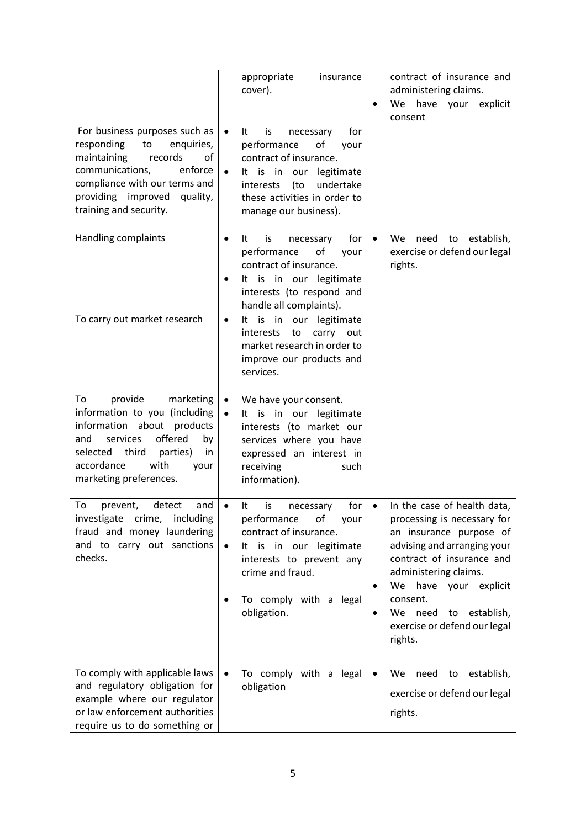|                                                                                                                                                                                                                            | appropriate<br>insurance<br>cover).                                                                                                                                                                                                   | contract of insurance and<br>administering claims.<br>We have your explicit<br>consent                                                                                                                                                                                                                            |
|----------------------------------------------------------------------------------------------------------------------------------------------------------------------------------------------------------------------------|---------------------------------------------------------------------------------------------------------------------------------------------------------------------------------------------------------------------------------------|-------------------------------------------------------------------------------------------------------------------------------------------------------------------------------------------------------------------------------------------------------------------------------------------------------------------|
| For business purposes such as<br>responding<br>enquiries,<br>to<br>maintaining<br>records<br>of<br>communications,<br>enforce<br>compliance with our terms and<br>providing improved<br>quality,<br>training and security. | It<br>is<br>necessary<br>for<br>$\bullet$<br>performance<br>of<br>your<br>contract of insurance.<br>It is in our<br>legitimate<br>$\bullet$<br>(to<br>undertake<br>interests<br>these activities in order to<br>manage our business). |                                                                                                                                                                                                                                                                                                                   |
| Handling complaints                                                                                                                                                                                                        | for<br>It<br>is<br>necessary<br>$\bullet$<br>performance<br>of<br>your<br>contract of insurance.<br>It is in our legitimate<br>interests (to respond and<br>handle all complaints).                                                   | need<br>establish,<br>We .<br>to<br>exercise or defend our legal<br>rights.                                                                                                                                                                                                                                       |
| To carry out market research                                                                                                                                                                                               | It is in our legitimate<br>$\bullet$<br>interests to<br>carry out<br>market research in order to<br>improve our products and<br>services.                                                                                             |                                                                                                                                                                                                                                                                                                                   |
| provide<br>marketing<br>To<br>information to you (including<br>information about products<br>offered<br>services<br>and<br>by<br>selected third<br>parties)<br>in<br>accordance<br>with<br>your<br>marketing preferences.  | $\bullet$<br>We have your consent.<br>It is in our legitimate<br>$\bullet$<br>interests (to market our<br>services where you have<br>expressed an interest in<br>receiving<br>such<br>information).                                   |                                                                                                                                                                                                                                                                                                                   |
| To<br>detect<br>and<br>prevent,<br>investigate<br>crime, including<br>fraud and money laundering<br>and to carry out sanctions<br>checks.                                                                                  | for $  \bullet$<br>It<br>İS<br>necessary<br>performance<br>οf<br>your<br>contract of insurance.<br>It is in our legitimate<br>$\bullet$<br>interests to prevent any<br>crime and fraud.<br>To comply with a legal<br>obligation.      | In the case of health data,<br>processing is necessary for<br>an insurance purpose of<br>advising and arranging your<br>contract of insurance and<br>administering claims.<br>have your explicit<br>We<br>٠<br>consent.<br>We<br>need<br>establish,<br>to<br>$\bullet$<br>exercise or defend our legal<br>rights. |
| To comply with applicable laws<br>and regulatory obligation for<br>example where our regulator<br>or law enforcement authorities<br>require us to do something or                                                          | To comply with a legal<br>$\bullet$<br>obligation                                                                                                                                                                                     | establish,<br>need<br>to<br>$\bullet$<br>We<br>exercise or defend our legal<br>rights.                                                                                                                                                                                                                            |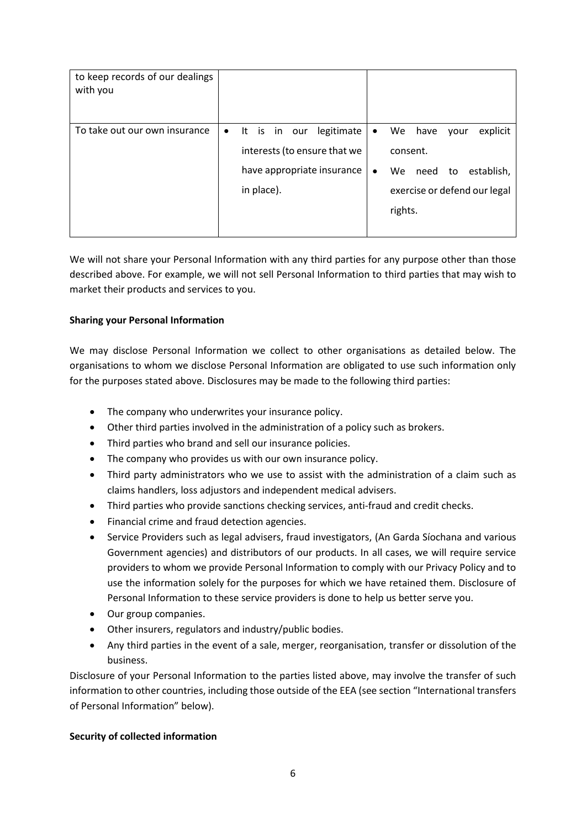| to keep records of our dealings<br>with you |           |            |              |                                                                          |                        |                           |                 |            |                                                        |
|---------------------------------------------|-----------|------------|--------------|--------------------------------------------------------------------------|------------------------|---------------------------|-----------------|------------|--------------------------------------------------------|
| To take out our own insurance               | $\bullet$ | in place). | It is in our | legitimate<br>interests (to ensure that we<br>have appropriate insurance | $\bullet$<br>$\bullet$ | consent.<br>We<br>rights. | We have<br>need | your<br>to | explicit<br>establish,<br>exercise or defend our legal |

We will not share your Personal Information with any third parties for any purpose other than those described above. For example, we will not sell Personal Information to third parties that may wish to market their products and services to you.

# **Sharing your Personal Information**

We may disclose Personal Information we collect to other organisations as detailed below. The organisations to whom we disclose Personal Information are obligated to use such information only for the purposes stated above. Disclosures may be made to the following third parties:

- The company who underwrites your insurance policy.
- Other third parties involved in the administration of a policy such as brokers.
- Third parties who brand and sell our insurance policies.
- The company who provides us with our own insurance policy.
- Third party administrators who we use to assist with the administration of a claim such as claims handlers, loss adjustors and independent medical advisers.
- Third parties who provide sanctions checking services, anti-fraud and credit checks.
- Financial crime and fraud detection agencies.
- Service Providers such as legal advisers, fraud investigators, (An Garda Síochana and various Government agencies) and distributors of our products. In all cases, we will require service providers to whom we provide Personal Information to comply with our Privacy Policy and to use the information solely for the purposes for which we have retained them. Disclosure of Personal Information to these service providers is done to help us better serve you.
- Our group companies.
- Other insurers, regulators and industry/public bodies.
- Any third parties in the event of a sale, merger, reorganisation, transfer or dissolution of the business.

Disclosure of your Personal Information to the parties listed above, may involve the transfer of such information to other countries, including those outside of the EEA (see section "International transfers of Personal Information" below).

# **Security of collected information**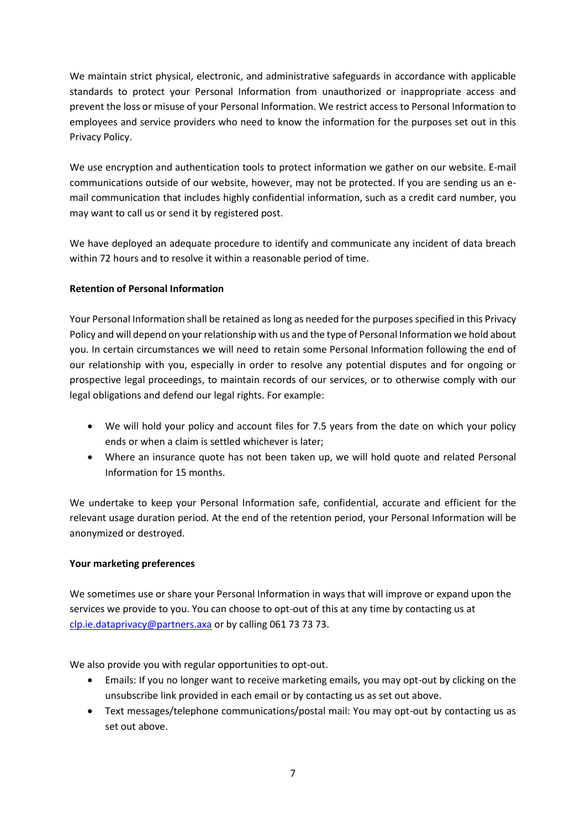We maintain strict physical, electronic, and administrative safeguards in accordance with applicable standards to protect your Personal Information from unauthorized or inappropriate access and prevent the loss or misuse of your Personal Information. We restrict access to Personal Information to employees and service providers who need to know the information for the purposes set out in this Privacy Policy.

We use encryption and authentication tools to protect information we gather on our website. E-mail communications outside of our website, however, may not be protected. If you are sending us an email communication that includes highly confidential information, such as a credit card number, you may want to call us or send it by registered post.

We have deployed an adequate procedure to identify and communicate any incident of data breach within 72 hours and to resolve it within a reasonable period of time.

# **Retention of Personal Information**

Your Personal Information shall be retained as long as needed for the purposes specified in this Privacy Policy and will depend on your relationship with us and the type of Personal Information we hold about you. In certain circumstances we will need to retain some Personal Information following the end of our relationship with you, especially in order to resolve any potential disputes and for ongoing or prospective legal proceedings, to maintain records of our services, or to otherwise comply with our legal obligations and defend our legal rights. For example:

- We will hold your policy and account files for 7.5 years from the date on which your policy ends or when a claim is settled whichever is later;
- Where an insurance quote has not been taken up, we will hold quote and related Personal Information for 15 months.

We undertake to keep your Personal Information safe, confidential, accurate and efficient for the relevant usage duration period. At the end of the retention period, your Personal Information will be anonymized or destroyed.

# **Your marketing preferences**

We sometimes use or share your Personal Information in ways that will improve or expand upon the services we provide to you. You can choose to opt-out of this at any time by contacting us at [clp.ie.dataprivacy@partners.axa](mailto:clp.ie.dataprivacy@partners.axa) or by calling 061 73 73 73.

We also provide you with regular opportunities to opt-out.

- Emails: If you no longer want to receive marketing emails, you may opt-out by clicking on the unsubscribe link provided in each email or by contacting us as set out above.
- Text messages/telephone communications/postal mail: You may opt-out by contacting us as set out above.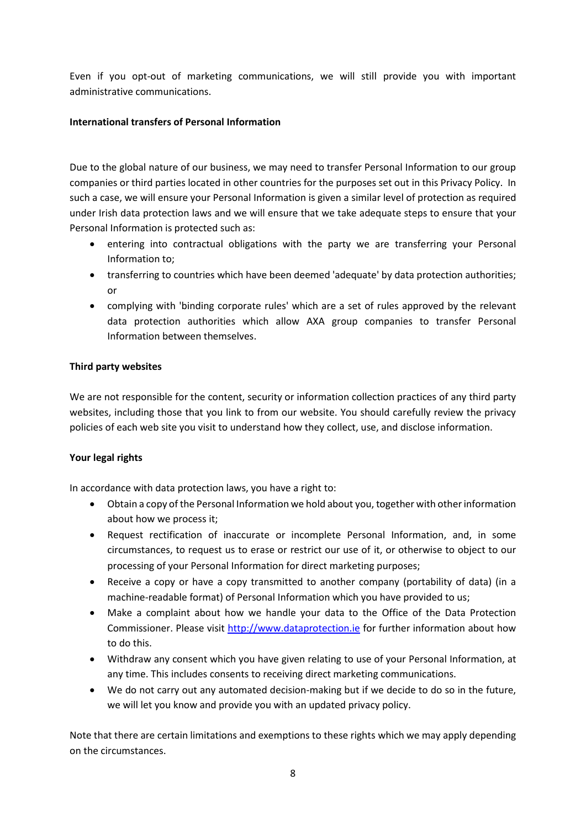Even if you opt-out of marketing communications, we will still provide you with important administrative communications.

# **International transfers of Personal Information**

Due to the global nature of our business, we may need to transfer Personal Information to our group companies or third parties located in other countries for the purposes set out in this Privacy Policy. In such a case, we will ensure your Personal Information is given a similar level of protection as required under Irish data protection laws and we will ensure that we take adequate steps to ensure that your Personal Information is protected such as:

- entering into contractual obligations with the party we are transferring your Personal Information to;
- transferring to countries which have been deemed 'adequate' by data protection authorities; or
- complying with 'binding corporate rules' which are a set of rules approved by the relevant data protection authorities which allow AXA group companies to transfer Personal Information between themselves.

# **Third party websites**

We are not responsible for the content, security or information collection practices of any third party websites, including those that you link to from our website. You should carefully review the privacy policies of each web site you visit to understand how they collect, use, and disclose information.

# **Your legal rights**

In accordance with data protection laws, you have a right to:

- Obtain a copy of the Personal Information we hold about you, together with other information about how we process it;
- Request rectification of inaccurate or incomplete Personal Information, and, in some circumstances, to request us to erase or restrict our use of it, or otherwise to object to our processing of your Personal Information for direct marketing purposes;
- Receive a copy or have a copy transmitted to another company (portability of data) (in a machine-readable format) of Personal Information which you have provided to us;
- Make a complaint about how we handle your data to the Office of the Data Protection Commissioner. Please visit [http://www.dataprotection.ie](http://www.dataprotection.ie/) for further information about how to do this.
- Withdraw any consent which you have given relating to use of your Personal Information, at any time. This includes consents to receiving direct marketing communications.
- We do not carry out any automated decision-making but if we decide to do so in the future, we will let you know and provide you with an updated privacy policy.

Note that there are certain limitations and exemptions to these rights which we may apply depending on the circumstances.